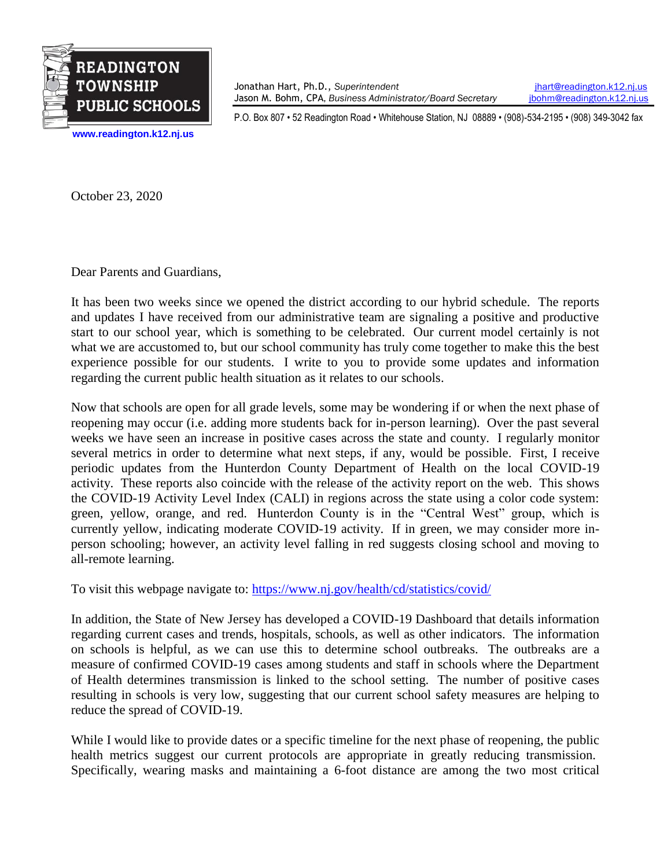

**[www.readington.k12.nj.us](http://www.readington.k12.nj.us/)**

Jonathan Hart, Ph.D., *Superintendent* [jhart@readington.k12.nj.us](mailto:jhart@readington.k12.nj.us) Jason M. Bohm, CPA, *Business Administrator/Board Secretary* [jbohm@readington.k12.nj.us](mailto:jbohm@readington.k12.nj.us)

P.O. Box 807 • 52 Readington Road • Whitehouse Station, NJ 08889 • (908)-534-2195 • (908) 349-3042 fax

October 23, 2020

Dear Parents and Guardians,

It has been two weeks since we opened the district according to our hybrid schedule. The reports and updates I have received from our administrative team are signaling a positive and productive start to our school year, which is something to be celebrated. Our current model certainly is not what we are accustomed to, but our school community has truly come together to make this the best experience possible for our students. I write to you to provide some updates and information regarding the current public health situation as it relates to our schools.

Now that schools are open for all grade levels, some may be wondering if or when the next phase of reopening may occur (i.e. adding more students back for in-person learning). Over the past several weeks we have seen an increase in positive cases across the state and county. I regularly monitor several metrics in order to determine what next steps, if any, would be possible. First, I receive periodic updates from the Hunterdon County Department of Health on the local COVID-19 activity. These reports also coincide with the release of the activity report on the web. This shows the COVID-19 Activity Level Index (CALI) in regions across the state using a color code system: green, yellow, orange, and red. Hunterdon County is in the "Central West" group, which is currently yellow, indicating moderate COVID-19 activity. If in green, we may consider more inperson schooling; however, an activity level falling in red suggests closing school and moving to all-remote learning.

To visit this webpage navigate to: <https://www.nj.gov/health/cd/statistics/covid/>

In addition, the State of New Jersey has developed a COVID-19 Dashboard that details information regarding current cases and trends, hospitals, schools, as well as other indicators. The information on schools is helpful, as we can use this to determine school outbreaks. The outbreaks are a measure of confirmed COVID-19 cases among students and staff in schools where the Department of Health determines transmission is linked to the school setting. The number of positive cases resulting in schools is very low, suggesting that our current school safety measures are helping to reduce the spread of COVID-19.

While I would like to provide dates or a specific timeline for the next phase of reopening, the public health metrics suggest our current protocols are appropriate in greatly reducing transmission. Specifically, wearing masks and maintaining a 6-foot distance are among the two most critical